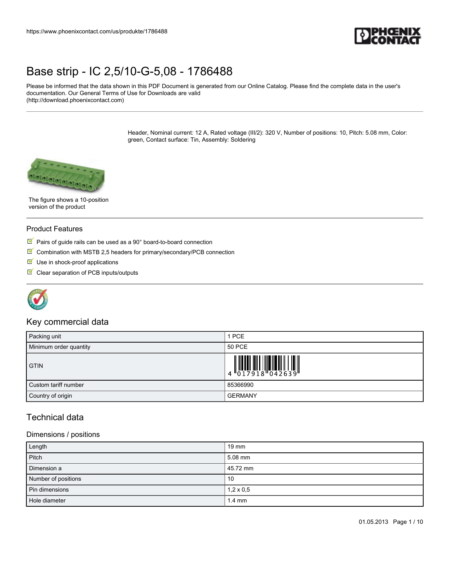

Please be informed that the data shown in this PDF Document is generated from our Online Catalog. Please find the complete data in the user's documentation. Our General Terms of Use for Downloads are valid (http://download.phoenixcontact.com)

> Header, Nominal current: 12 A, Rated voltage (III/2): 320 V, Number of positions: 10, Pitch: 5.08 mm, Color: green, Contact surface: Tin, Assembly: Soldering



The figure shows a 10-position version of the product

#### Product Features

- Pairs of guide rails can be used as a 90° board-to-board connection
- $\boxed{\blacksquare}$  Combination with MSTB 2,5 headers for primary/secondary/PCB connection
- $\blacksquare$  Use in shock-proof applications
- $\blacksquare$  Clear separation of PCB inputs/outputs



## Key commercial data

| Packing unit           | 1 PCE                                                                                                                                                                                                                                                                                                                     |
|------------------------|---------------------------------------------------------------------------------------------------------------------------------------------------------------------------------------------------------------------------------------------------------------------------------------------------------------------------|
| Minimum order quantity | 50 PCE                                                                                                                                                                                                                                                                                                                    |
| <b>GTIN</b>            | $\begin{array}{c} 1 & 0 & 0 & 0 & 0 \\ 0 & 0 & 1 & 7 & 9 & 1 & 8 \\ 0 & 0 & 0 & 0 & 1 & 8 \\ 0 & 0 & 0 & 0 & 1 & 8 \\ 0 & 0 & 0 & 0 & 0 & 0 \\ 0 & 0 & 0 & 0 & 0 & 0 \\ 0 & 0 & 0 & 0 & 0 & 0 \\ 0 & 0 & 0 & 0 & 0 & 0 \\ 0 & 0 & 0 & 0 & 0 & 0 & 0 \\ 0 & 0 & 0 & 0 & 0 & 0 & 0 \\ 0 & 0 & 0 & 0 & 0 & 0 & 0 \\ 0 & 0 &$ |
| Custom tariff number   | 85366990                                                                                                                                                                                                                                                                                                                  |
| Country of origin      | <b>GERMANY</b>                                                                                                                                                                                                                                                                                                            |

## Technical data

#### Dimensions / positions

| Length              | $19 \text{ mm}$  |
|---------------------|------------------|
| Pitch               | $5.08$ mm        |
| Dimension a         | 45.72 mm         |
| Number of positions | 10               |
| Pin dimensions      | $1,2 \times 0,5$ |
| Hole diameter       | $1.4 \text{ mm}$ |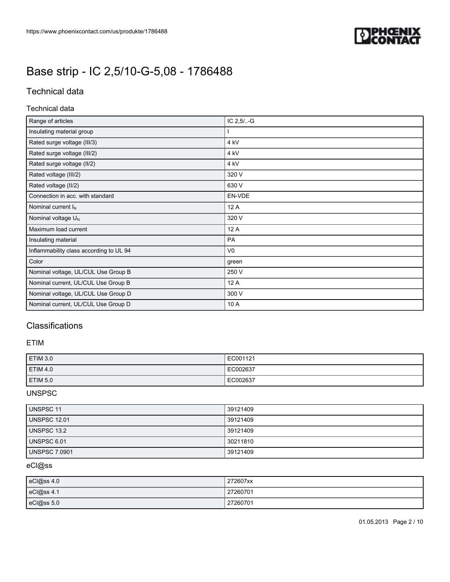

## Technical data

#### Technical data

| Range of articles                       | $IC 2,5/-.G$    |
|-----------------------------------------|-----------------|
| Insulating material group               |                 |
| Rated surge voltage (III/3)             | 4 <sub>kV</sub> |
| Rated surge voltage (III/2)             | 4 kV            |
| Rated surge voltage (II/2)              | 4 kV            |
| Rated voltage (III/2)                   | 320 V           |
| Rated voltage (II/2)                    | 630 V           |
| Connection in acc. with standard        | EN-VDE          |
| Nominal current $I_N$                   | 12 A            |
| Nominal voltage U <sub>N</sub>          | 320 V           |
| Maximum load current                    | 12 A            |
| Insulating material                     | <b>PA</b>       |
| Inflammability class according to UL 94 | V <sub>0</sub>  |
| Color                                   | green           |
| Nominal voltage, UL/CUL Use Group B     | 250 V           |
| Nominal current, UL/CUL Use Group B     | 12 A            |
| Nominal voltage, UL/CUL Use Group D     | 300 V           |
| Nominal current, UL/CUL Use Group D     | 10 A            |

## **Classifications**

#### ETIM

| ETIM 3.0        | EC001121 |
|-----------------|----------|
| <b>ETIM 4.0</b> | EC002637 |
| <b>ETIM 5.0</b> | EC002637 |

### UNSPSC

| <b>UNSPSC 11</b>     | 39121409 |
|----------------------|----------|
| <b>UNSPSC 12.01</b>  | 39121409 |
| <b>UNSPSC 13.2</b>   | 39121409 |
| UNSPSC 6.01          | 30211810 |
| <b>UNSPSC 7.0901</b> | 39121409 |

### eCl@ss

| eCl@ss 4.0 | 272607xx |
|------------|----------|
| eCl@ss 4.1 | 27260701 |
| eCl@ss 5.0 | 27260701 |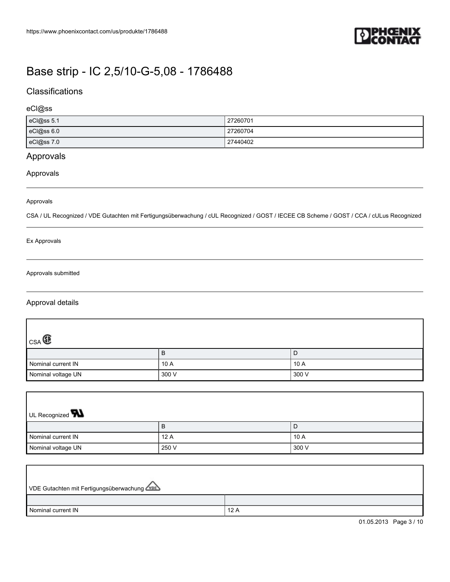

## **Classifications**

### eCl@ss

| eCl@ss 5.1 | 27260701 |
|------------|----------|
| eCl@ss 6.0 | 27260704 |
| eCl@ss 7.0 | 27440402 |

## Approvals

### Approvals

#### Approvals

CSA / UL Recognized / VDE Gutachten mit Fertigungsüberwachung / cUL Recognized / GOST / IECEE CB Scheme / GOST / CCA / cULus Recognized

#### Ex Approvals

#### Approvals submitted

### Approval details

| $ {}_{\mathsf{CSA}}@$ |       |       |
|-----------------------|-------|-------|
|                       | D     | ◡     |
| Nominal current IN    | 10A   | 10 A  |
| Nominal voltage UN    | 300 V | 300 V |

| UL Recognized <b>W</b> |       |       |  |
|------------------------|-------|-------|--|
|                        | B     | D     |  |
| Nominal current IN     | 12A   | 10A   |  |
| Nominal voltage UN     | 250 V | 300 V |  |

| VDE Gutachten mit Fertigungsüberwachung |     |
|-----------------------------------------|-----|
|                                         |     |
| Nominal current IN                      | 12A |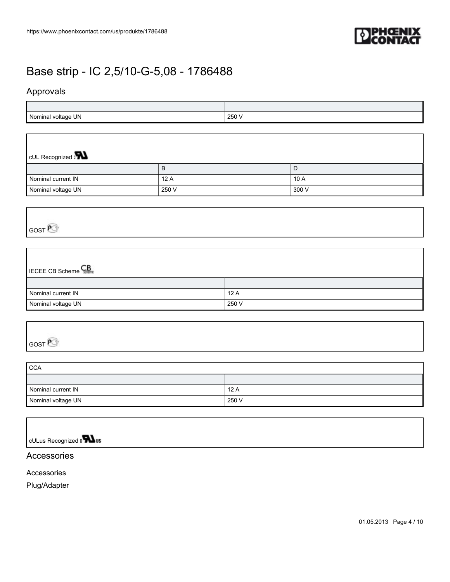

## Approvals

| UN.<br>Nor<br>voltage | つらへ<br>∠∪∪ |
|-----------------------|------------|

| CUL Recognized $\mathbf{R}$ |       |        |  |
|-----------------------------|-------|--------|--|
|                             | в     | l D    |  |
| Nominal current IN          | 12A   | l 10 A |  |
| Nominal voltage UN          | 250 V | 300 V  |  |

# GOST<sup>P</sup>

| <b>ECEE CB Scheme</b> |       |
|-----------------------|-------|
|                       |       |
| Nominal current IN    | 12A   |
| Nominal voltage UN    | 250 V |

| $\sim$ $\sim$ $\sim$<br>È |  |  |
|---------------------------|--|--|

| <b>CCA</b>         |       |  |
|--------------------|-------|--|
|                    |       |  |
| Nominal current IN | 12A   |  |
| Nominal voltage UN | 250 V |  |

cULus Recognized a **Wus** 

## Accessories

Accessories

Plug/Adapter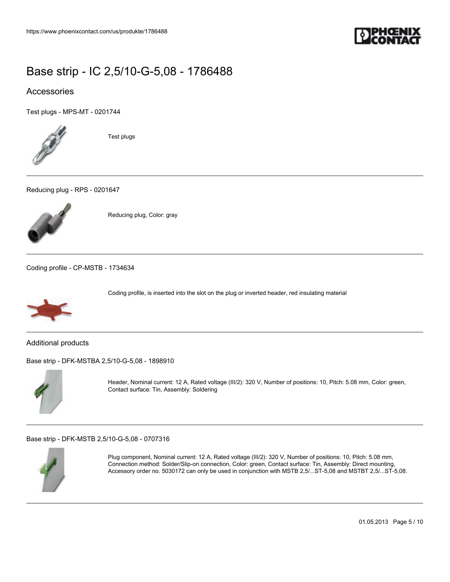

## Accessories

[Test plugs - MPS-MT - 0201744](https://www.phoenixcontact.com/us/produkte/0201744)



Test plugs

[Reducing plug - RPS - 0201647](https://www.phoenixcontact.com/us/produkte/0201647)



Reducing plug, Color: gray

[Coding profile - CP-MSTB - 1734634](https://www.phoenixcontact.com/us/produkte/1734634)



Coding profile, is inserted into the slot on the plug or inverted header, red insulating material

Additional products

[Base strip - DFK-MSTBA 2,5/10-G-5,08 - 1898910](https://www.phoenixcontact.com/us/produkte/1898910)



Header, Nominal current: 12 A, Rated voltage (III/2): 320 V, Number of positions: 10, Pitch: 5.08 mm, Color: green, Contact surface: Tin, Assembly: Soldering

[Base strip - DFK-MSTB 2,5/10-G-5,08 - 0707316](https://www.phoenixcontact.com/us/produkte/0707316)



Plug component, Nominal current: 12 A, Rated voltage (III/2): 320 V, Number of positions: 10, Pitch: 5.08 mm, Connection method: Solder/Slip-on connection, Color: green, Contact surface: Tin, Assembly: Direct mounting, Accessory order no. 5030172 can only be used in conjunction with MSTB 2,5/...ST-5,08 and MSTBT 2,5/...ST-5,08.

01.05.2013 Page 5 / 10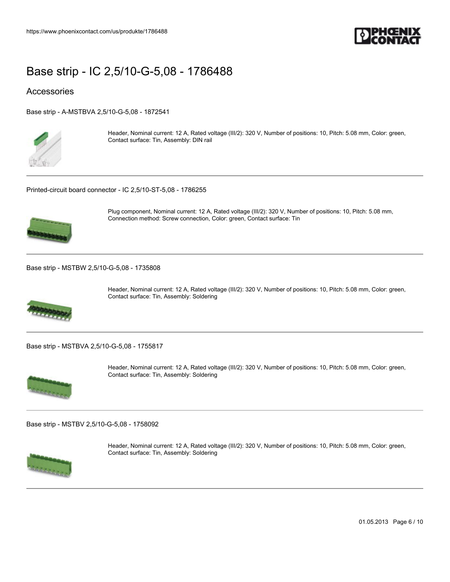

### **Accessories**

[Base strip - A-MSTBVA 2,5/10-G-5,08 - 1872541](https://www.phoenixcontact.com/us/produkte/1872541)



Header, Nominal current: 12 A, Rated voltage (III/2): 320 V, Number of positions: 10, Pitch: 5.08 mm, Color: green, Contact surface: Tin, Assembly: DIN rail

[Printed-circuit board connector - IC 2,5/10-ST-5,08 - 1786255](https://www.phoenixcontact.com/us/produkte/1786255)



Plug component, Nominal current: 12 A, Rated voltage (III/2): 320 V, Number of positions: 10, Pitch: 5.08 mm, Connection method: Screw connection, Color: green, Contact surface: Tin

[Base strip - MSTBW 2,5/10-G-5,08 - 1735808](https://www.phoenixcontact.com/us/produkte/1735808)



Header, Nominal current: 12 A, Rated voltage (III/2): 320 V, Number of positions: 10, Pitch: 5.08 mm, Color: green, Contact surface: Tin, Assembly: Soldering

[Base strip - MSTBVA 2,5/10-G-5,08 - 1755817](https://www.phoenixcontact.com/us/produkte/1755817)



Header, Nominal current: 12 A, Rated voltage (III/2): 320 V, Number of positions: 10, Pitch: 5.08 mm, Color: green, Contact surface: Tin, Assembly: Soldering

[Base strip - MSTBV 2,5/10-G-5,08 - 1758092](https://www.phoenixcontact.com/us/produkte/1758092)



Header, Nominal current: 12 A, Rated voltage (III/2): 320 V, Number of positions: 10, Pitch: 5.08 mm, Color: green, Contact surface: Tin, Assembly: Soldering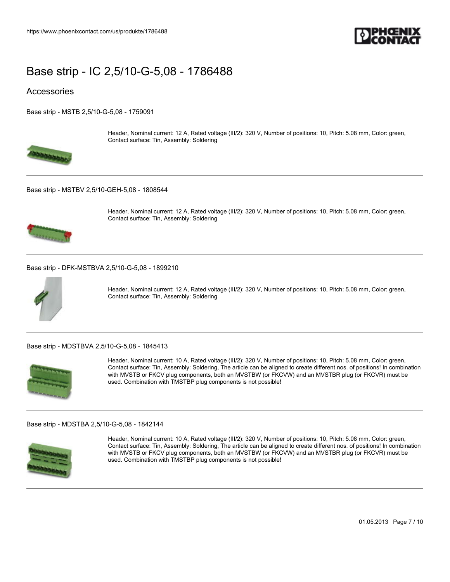

### **Accessories**

[Base strip - MSTB 2,5/10-G-5,08 - 1759091](https://www.phoenixcontact.com/us/produkte/1759091)



Header, Nominal current: 12 A, Rated voltage (III/2): 320 V, Number of positions: 10, Pitch: 5.08 mm, Color: green, Contact surface: Tin, Assembly: Soldering

#### [Base strip - MSTBV 2,5/10-GEH-5,08 - 1808544](https://www.phoenixcontact.com/us/produkte/1808544)



Header, Nominal current: 12 A, Rated voltage (III/2): 320 V, Number of positions: 10, Pitch: 5.08 mm, Color: green, Contact surface: Tin, Assembly: Soldering

#### [Base strip - DFK-MSTBVA 2,5/10-G-5,08 - 1899210](https://www.phoenixcontact.com/us/produkte/1899210)



Header, Nominal current: 12 A, Rated voltage (III/2): 320 V, Number of positions: 10, Pitch: 5.08 mm, Color: green, Contact surface: Tin, Assembly: Soldering

#### [Base strip - MDSTBVA 2,5/10-G-5,08 - 1845413](https://www.phoenixcontact.com/us/produkte/1845413)



Header, Nominal current: 10 A, Rated voltage (III/2): 320 V, Number of positions: 10, Pitch: 5.08 mm, Color: green, Contact surface: Tin, Assembly: Soldering, The article can be aligned to create different nos. of positions! In combination with MVSTB or FKCV plug components, both an MVSTBW (or FKCVW) and an MVSTBR plug (or FKCVR) must be used. Combination with TMSTBP plug components is not possible!

#### [Base strip - MDSTBA 2,5/10-G-5,08 - 1842144](https://www.phoenixcontact.com/us/produkte/1842144)



Header, Nominal current: 10 A, Rated voltage (III/2): 320 V, Number of positions: 10, Pitch: 5.08 mm, Color: green, Contact surface: Tin, Assembly: Soldering, The article can be aligned to create different nos. of positions! In combination with MVSTB or FKCV plug components, both an MVSTBW (or FKCVW) and an MVSTBR plug (or FKCVR) must be used. Combination with TMSTBP plug components is not possible!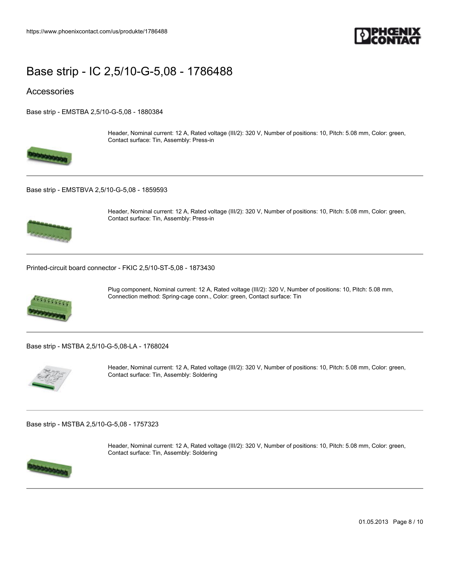

Contact surface: Tin, Assembly: Press-in

### **Accessories**

[Base strip - EMSTBA 2,5/10-G-5,08 - 1880384](https://www.phoenixcontact.com/us/produkte/1880384)



[Base strip - EMSTBVA 2,5/10-G-5,08 - 1859593](https://www.phoenixcontact.com/us/produkte/1859593)



Header, Nominal current: 12 A, Rated voltage (III/2): 320 V, Number of positions: 10, Pitch: 5.08 mm, Color: green, Contact surface: Tin, Assembly: Press-in

Header, Nominal current: 12 A, Rated voltage (III/2): 320 V, Number of positions: 10, Pitch: 5.08 mm, Color: green,

[Printed-circuit board connector - FKIC 2,5/10-ST-5,08 - 1873430](https://www.phoenixcontact.com/us/produkte/1873430)



Plug component, Nominal current: 12 A, Rated voltage (III/2): 320 V, Number of positions: 10, Pitch: 5.08 mm, Connection method: Spring-cage conn., Color: green, Contact surface: Tin

[Base strip - MSTBA 2,5/10-G-5,08-LA - 1768024](https://www.phoenixcontact.com/us/produkte/1768024)



Header, Nominal current: 12 A, Rated voltage (III/2): 320 V, Number of positions: 10, Pitch: 5.08 mm, Color: green, Contact surface: Tin, Assembly: Soldering

[Base strip - MSTBA 2,5/10-G-5,08 - 1757323](https://www.phoenixcontact.com/us/produkte/1757323)



Header, Nominal current: 12 A, Rated voltage (III/2): 320 V, Number of positions: 10, Pitch: 5.08 mm, Color: green, Contact surface: Tin, Assembly: Soldering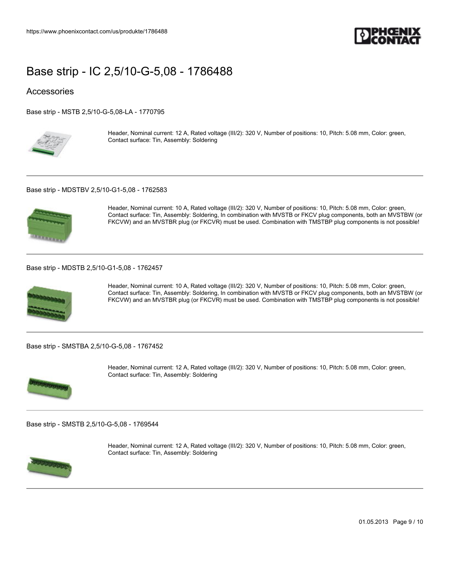

### **Accessories**

[Base strip - MSTB 2,5/10-G-5,08-LA - 1770795](https://www.phoenixcontact.com/us/produkte/1770795)



Header, Nominal current: 12 A, Rated voltage (III/2): 320 V, Number of positions: 10, Pitch: 5.08 mm, Color: green, Contact surface: Tin, Assembly: Soldering

#### [Base strip - MDSTBV 2,5/10-G1-5,08 - 1762583](https://www.phoenixcontact.com/us/produkte/1762583)



Header, Nominal current: 10 A, Rated voltage (III/2): 320 V, Number of positions: 10, Pitch: 5.08 mm, Color: green, Contact surface: Tin, Assembly: Soldering, In combination with MVSTB or FKCV plug components, both an MVSTBW (or FKCVW) and an MVSTBR plug (or FKCVR) must be used. Combination with TMSTBP plug components is not possible!

#### [Base strip - MDSTB 2,5/10-G1-5,08 - 1762457](https://www.phoenixcontact.com/us/produkte/1762457)



Header, Nominal current: 10 A, Rated voltage (III/2): 320 V, Number of positions: 10, Pitch: 5.08 mm, Color: green, Contact surface: Tin, Assembly: Soldering, In combination with MVSTB or FKCV plug components, both an MVSTBW (or FKCVW) and an MVSTBR plug (or FKCVR) must be used. Combination with TMSTBP plug components is not possible!

[Base strip - SMSTBA 2,5/10-G-5,08 - 1767452](https://www.phoenixcontact.com/us/produkte/1767452)



Header, Nominal current: 12 A, Rated voltage (III/2): 320 V, Number of positions: 10, Pitch: 5.08 mm, Color: green, Contact surface: Tin, Assembly: Soldering

[Base strip - SMSTB 2,5/10-G-5,08 - 1769544](https://www.phoenixcontact.com/us/produkte/1769544)



Header, Nominal current: 12 A, Rated voltage (III/2): 320 V, Number of positions: 10, Pitch: 5.08 mm, Color: green, Contact surface: Tin, Assembly: Soldering